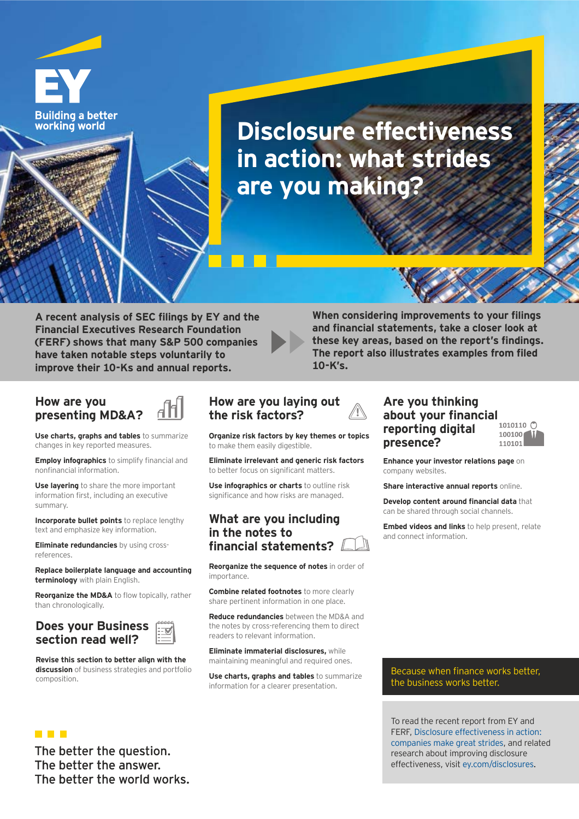

**Disclosure effectiveness in action: what strides are you making?**

A recent analysis of SEC filings by EY and the **Financial Executives Research Foundation (FERF) shows that many S&P 500 companies** have taken notable steps voluntarily to improve their 10-Ks and annual reports.

**When considering improvements to your filings** and financial statements, take a closer look at these key areas, based on the report's findings. The report also illustrates examples from filed 10-K's.

#### **How are you presenting MD&A?**

**Use charts, graphs and tables** to summarize changes in key reported measures.

**Employ infographics** to simplify financial and nonfinancial information

**Use layering** to share the more important information first, including an executive summary.

**Incorporate bullet points** to replace lengthy text and emphasize key information.

**Eliminate redundancies** by using crossreferences.

Replace boilerplate language and accounting **terminology** with plain English.

**Reorganize the MD&A** to flow topically, rather than chronologically.

#### **Does your Business**  section read well?

**THE R** 

**Revise this section to better align with the discussion** of business strategies and portfolio composition.

## **How are you laying out**  the risk factors?

**Grganize risk factors by key themes or topics** to make them easily digestible.

Eliminate irrelevant and generic risk factors to better focus on significant matters

**Use infographics or charts** to outline risk significance and how risks are managed.

### **What are you including in the notes to**  financial statements?

**Reorganize the sequence of notes** in order of importance.

**Combine related footnotes** to more clearly share pertinent information in one place.

**Reduce redundancies** between the MD&A and the notes by cross-referencing them to direct readers to relevant information.

**Eliminate immaterial disclosures, while** maintaining meaningful and required ones.

**Use charts, graphs and tables** to summarize information for a clearer presentation.

### **Are you thinking about your financial reporting digital presence?**

 $100100$ 110101

**Enhance your investor relations page On** company websites.

**Share interactive annual reports online.** 

**Develop content around financial data that** can be shared through social channels.

Embed videos and links to help present, relate and connect information.

Because when finance works better, the business works better.

To read the recent report from EY and FERF. Disclosure effectiveness in action: companies make great strides, and related research about improving disclosure effectiveness, visit ey.com/disclosures.

The better the question. The better the answer. The better the world works.